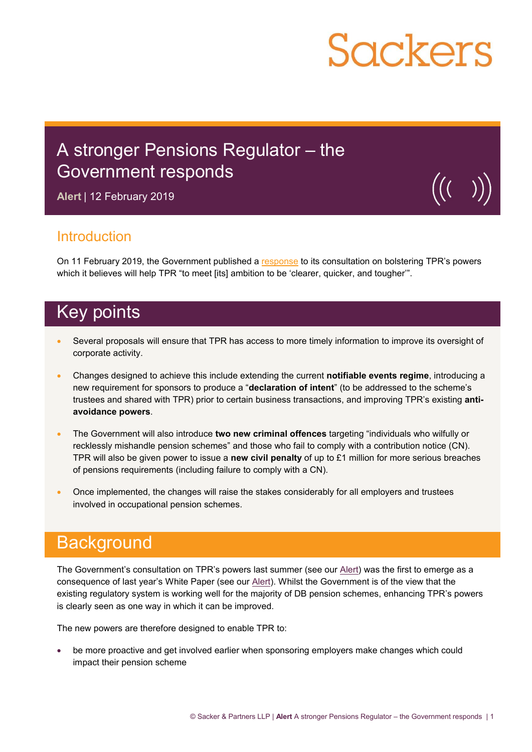# **Sackers**

## A stronger Pensions Regulator – the Government responds

**Alert** | 12 February 2019



### Introduction

On 11 February 2019, the Government published a [response](https://assets.publishing.service.gov.uk/government/uploads/system/uploads/attachment_data/file/777758/response-protecting-defined-benefit-pension-schemes.pdf) to its consultation on bolstering TPR's powers which it believes will help TPR "to meet [its] ambition to be 'clearer, quicker, and tougher"".

## Key points

- Several proposals will ensure that TPR has access to more timely information to improve its oversight of corporate activity.
- Changes designed to achieve this include extending the current **notifiable events regime**, introducing a new requirement for sponsors to produce a "**declaration of intent**" (to be addressed to the scheme's trustees and shared with TPR) prior to certain business transactions, and improving TPR's existing **antiavoidance powers**.
- The Government will also introduce **two new criminal offences** targeting "individuals who wilfully or recklessly mishandle pension schemes" and those who fail to comply with a contribution notice (CN). TPR will also be given power to issue a **new civil penalty** of up to £1 million for more serious breaches of pensions requirements (including failure to comply with a CN).
- Once implemented, the changes will raise the stakes considerably for all employers and trustees involved in occupational pension schemes.

## **Background**

The Government's consultation on TPR's powers last summer (see our [Alert](https://www.sackers.com/publication/protecting-db-pension-schemes-a-stronger-pensions-regulator/)) was the first to emerge as a consequence of last year's White Paper (see our [Alert\)](https://www.sackers.com/publication/protecting-db-pension-schemes-the-governments-white-paper/). Whilst the Government is of the view that the existing regulatory system is working well for the majority of DB pension schemes, enhancing TPR's powers is clearly seen as one way in which it can be improved.

The new powers are therefore designed to enable TPR to:

 be more proactive and get involved earlier when sponsoring employers make changes which could impact their pension scheme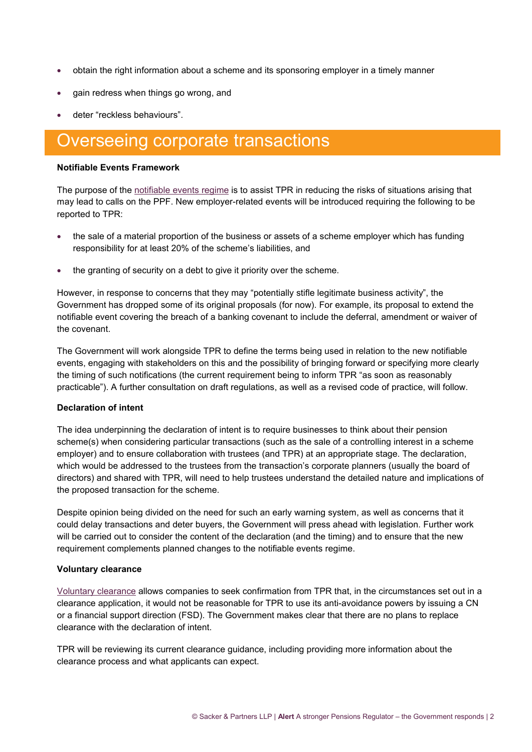- obtain the right information about a scheme and its sponsoring employer in a timely manner
- gain redress when things go wrong, and
- deter "reckless behaviours".

## Overseeing corporate transactions

#### **Notifiable Events Framework**

The purpose of the [notifiable events regime](https://www.sackers.com/pension/notifiable-events-basics/) is to assist TPR in reducing the risks of situations arising that may lead to calls on the PPF. New employer-related events will be introduced requiring the following to be reported to TPR:

- the sale of a material proportion of the business or assets of a scheme employer which has funding responsibility for at least 20% of the scheme's liabilities, and
- the granting of security on a debt to give it priority over the scheme.

However, in response to concerns that they may "potentially stifle legitimate business activity", the Government has dropped some of its original proposals (for now). For example, its proposal to extend the notifiable event covering the breach of a banking covenant to include the deferral, amendment or waiver of the covenant.

The Government will work alongside TPR to define the terms being used in relation to the new notifiable events, engaging with stakeholders on this and the possibility of bringing forward or specifying more clearly the timing of such notifications (the current requirement being to inform TPR "as soon as reasonably practicable"). A further consultation on draft regulations, as well as a revised code of practice, will follow.

#### **Declaration of intent**

The idea underpinning the declaration of intent is to require businesses to think about their pension scheme(s) when considering particular transactions (such as the sale of a controlling interest in a scheme employer) and to ensure collaboration with trustees (and TPR) at an appropriate stage. The declaration, which would be addressed to the trustees from the transaction's corporate planners (usually the board of directors) and shared with TPR, will need to help trustees understand the detailed nature and implications of the proposed transaction for the scheme.

Despite opinion being divided on the need for such an early warning system, as well as concerns that it could delay transactions and deter buyers, the Government will press ahead with legislation. Further work will be carried out to consider the content of the declaration (and the timing) and to ensure that the new requirement complements planned changes to the notifiable events regime.

#### **Voluntary clearance**

[Voluntary clearance](https://www.sackers.com/pension/clearance-basics/) allows companies to seek confirmation from TPR that, in the circumstances set out in a clearance application, it would not be reasonable for TPR to use its anti-avoidance powers by issuing a CN or a financial support direction (FSD). The Government makes clear that there are no plans to replace clearance with the declaration of intent.

TPR will be reviewing its current clearance guidance, including providing more information about the clearance process and what applicants can expect.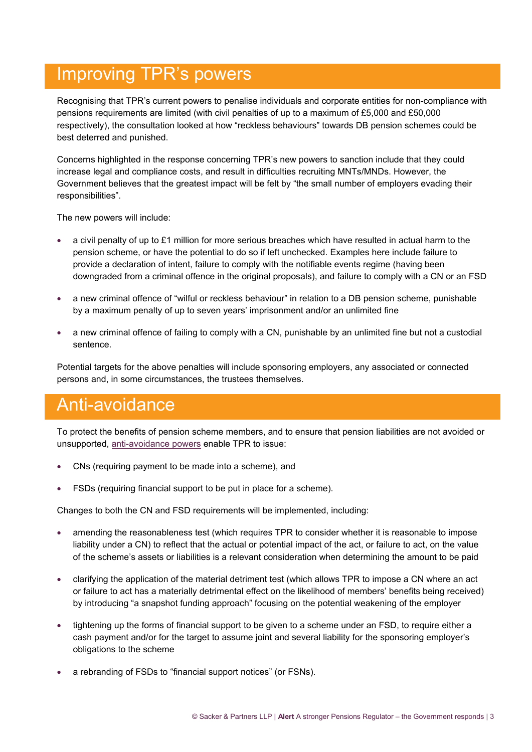## Improving TPR's powers

Recognising that TPR's current powers to penalise individuals and corporate entities for non-compliance with pensions requirements are limited (with civil penalties of up to a maximum of £5,000 and £50,000 respectively), the consultation looked at how "reckless behaviours" towards DB pension schemes could be best deterred and punished.

Concerns highlighted in the response concerning TPR's new powers to sanction include that they could increase legal and compliance costs, and result in difficulties recruiting MNTs/MNDs. However, the Government believes that the greatest impact will be felt by "the small number of employers evading their responsibilities".

The new powers will include:

- a civil penalty of up to £1 million for more serious breaches which have resulted in actual harm to the pension scheme, or have the potential to do so if left unchecked. Examples here include failure to provide a declaration of intent, failure to comply with the notifiable events regime (having been downgraded from a criminal offence in the original proposals), and failure to comply with a CN or an FSD
- a new criminal offence of "wilful or reckless behaviour" in relation to a DB pension scheme, punishable by a maximum penalty of up to seven years' imprisonment and/or an unlimited fine
- a new criminal offence of failing to comply with a CN, punishable by an unlimited fine but not a custodial sentence.

Potential targets for the above penalties will include sponsoring employers, any associated or connected persons and, in some circumstances, the trustees themselves.

## Anti-avoidance

To protect the benefits of pension scheme members, and to ensure that pension liabilities are not avoided or unsupported, [anti-avoidance powers](https://www.sackers.com/pension/anti-avoidance-the-regulators-powers/) enable TPR to issue:

- CNs (requiring payment to be made into a scheme), and
- FSDs (requiring financial support to be put in place for a scheme).

Changes to both the CN and FSD requirements will be implemented, including:

- amending the reasonableness test (which requires TPR to consider whether it is reasonable to impose liability under a CN) to reflect that the actual or potential impact of the act, or failure to act, on the value of the scheme's assets or liabilities is a relevant consideration when determining the amount to be paid
- clarifying the application of [the material detriment test](https://www.sackers.com/pension/anti-avoidance-material-detriment-test/) (which allows TPR to impose a CN where an act or failure to act has a materially detrimental effect on the likelihood of members' benefits being received) by introducing "a snapshot funding approach" focusing on the potential weakening of the employer
- tightening up the forms of financial support to be given to a scheme under an FSD, to require either a cash payment and/or for the target to assume joint and several liability for the sponsoring employer's obligations to the scheme
- a rebranding of FSDs to "financial support notices" (or FSNs).